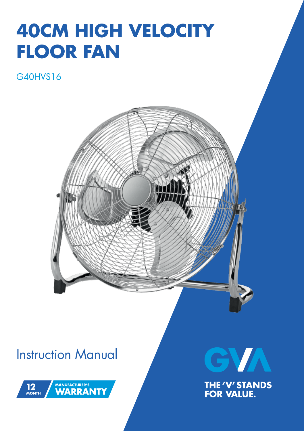# **40CM HIGH VELOCITY FLOOR FAN**

### G40HVS16



### Instruction Manual





**THE 'V' STANDS<br>FOR VALUE.**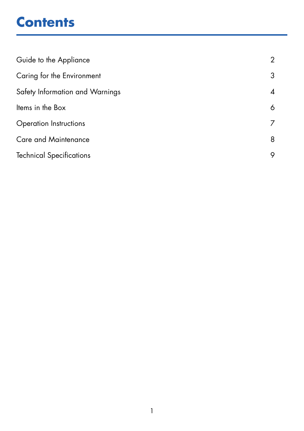## **Contents**

| Guide to the Appliance          |   |
|---------------------------------|---|
| Caring for the Environment      | 3 |
| Safety Information and Warnings | 4 |
| Items in the Box                | 6 |
| <b>Operation Instructions</b>   |   |
| <b>Care and Maintenance</b>     | 8 |
| <b>Technical Specifications</b> | 9 |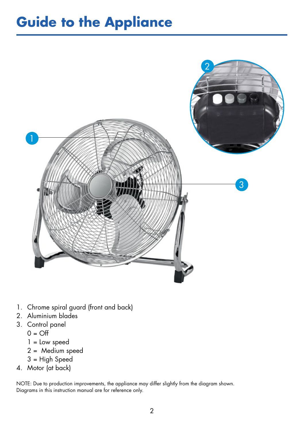## **Guide to the Appliance**



- 1. Chrome spiral guard (front and back)
- 2. Aluminium blades
- 3. Control panel
	- $0 = \bigcap$
	- 1 = Low speed
	- 2 = Medium speed
	- 3 = High Speed
- 4. Motor (at back)

NOTE: Due to production improvements, the appliance may differ slightly from the diagram shown. Diagrams in this instruction manual are for reference only.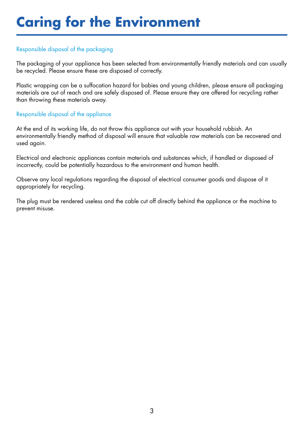## **Caring for the Environment**

#### Responsible disposal of the packaging

The packaging of your appliance has been selected from environmentally friendly materials and can usually be recycled. Please ensure these are disposed of correctly.

Plastic wrapping can be a suffocation hazard for babies and young children, please ensure all packaging materials are out of reach and are safely disposed of. Please ensure they are offered for recycling rather than throwing these materials away.

#### Responsible disposal of the appliance

At the end of its working life, do not throw this appliance out with your household rubbish. An environmentally friendly method of disposal will ensure that valuable raw materials can be recovered and used again.

Electrical and electronic appliances contain materials and substances which, if handled or disposed of incorrectly, could be potentially hazardous to the environment and human health.

Observe any local regulations regarding the disposal of electrical consumer goods and dispose of it appropriately for recycling.

The plug must be rendered useless and the cable cut off directly behind the appliance or the machine to prevent misuse.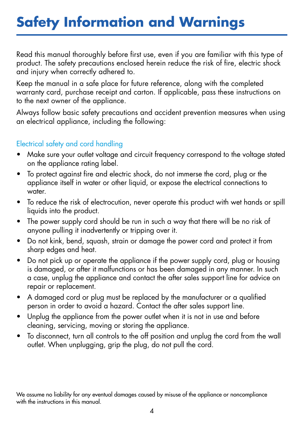## **Safety Information and Warnings**

Read this manual thoroughly before first use, even if you are familiar with this type of product. The safety precautions enclosed herein reduce the risk of fire, electric shock and injury when correctly adhered to.

Keep the manual in a safe place for future reference, along with the completed warranty card, purchase receipt and carton. If applicable, pass these instructions on to the next owner of the appliance.

Always follow basic safety precautions and accident prevention measures when using an electrical appliance, including the following:

#### Electrical safety and cord handling

- Make sure your outlet voltage and circuit frequency correspond to the voltage stated on the appliance rating label.
- To protect against fire and electric shock, do not immerse the cord, plug or the appliance itself in water or other liquid, or expose the electrical connections to water.
- To reduce the risk of electrocution, never operate this product with wet hands or spill liquids into the product.
- The power supply cord should be run in such a way that there will be no risk of anyone pulling it inadvertently or tripping over it.
- Do not kink, bend, squash, strain or damage the power cord and protect it from sharp edges and heat.
- Do not pick up or operate the appliance if the power supply cord, plug or housing is damaged, or after it malfunctions or has been damaged in any manner. In such a case, unplug the appliance and contact the after sales support line for advice on repair or replacement.
- A damaged cord or plug must be replaced by the manufacturer or a qualified person in order to avoid a hazard. Contact the after sales support line.
- Unplug the appliance from the power outlet when it is not in use and before cleaning, servicing, moving or storing the appliance.
- To disconnect, turn all controls to the off position and unplug the cord from the wall outlet. When unplugging, grip the plug, do not pull the cord.

We assume no liability for any eventual damages caused by misuse of the appliance or noncompliance with the instructions in this manual.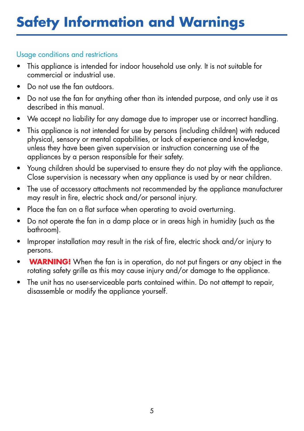## **Safety Information and Warnings**

### Usage conditions and restrictions

- This appliance is intended for indoor household use only. It is not suitable for commercial or industrial use.
- Do not use the fan outdoors.
- Do not use the fan for anything other than its intended purpose, and only use it as described in this manual.
- We accept no liability for any damage due to improper use or incorrect handling.
- This appliance is not intended for use by persons (including children) with reduced physical, sensory or mental capabilities, or lack of experience and knowledge, unless they have been given supervision or instruction concerning use of the appliances by a person responsible for their safety.
- Young children should be supervised to ensure they do not play with the appliance. Close supervision is necessary when any appliance is used by or near children.
- The use of accessory attachments not recommended by the appliance manufacturer may result in fire, electric shock and/or personal injury.
- Place the fan on a flat surface when operating to avoid overturning.
- Do not operate the fan in a damp place or in areas high in humidity (such as the bathroom).
- Improper installation may result in the risk of fire, electric shock and/or injury to persons.
- **WARNING!** When the fan is in operation, do not put fingers or any object in the rotating safety grille as this may cause injury and/or damage to the appliance.
- The unit has no user-serviceable parts contained within. Do not attempt to repair, disassemble or modify the appliance yourself.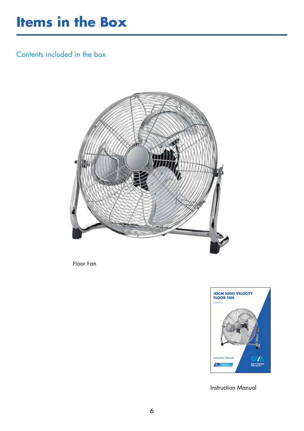### **Items in the Box**

Contents included in the box



Floor Fan



Instruction Manual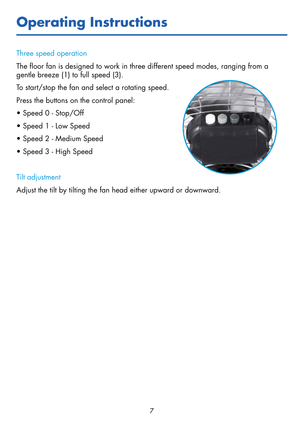## **Operating Instructions**

### Three speed operation

The floor fan is designed to work in three different speed modes, ranging from a gentle breeze (1) to full speed (3).

To start/stop the fan and select a rotating speed.

Press the buttons on the control panel:

- Speed 0 Stop/Off
- Speed 1 Low Speed
- Speed 2 Medium Speed
- Speed 3 High Speed



#### Tilt adjustment

Adjust the tilt by tilting the fan head either upward or downward.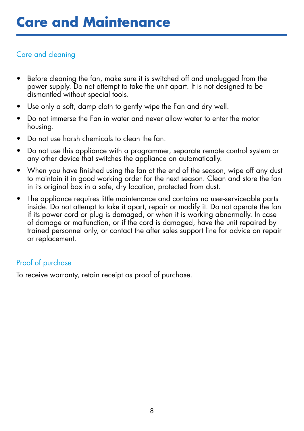#### Care and cleaning

- Before cleaning the fan, make sure it is switched off and unplugged from the power supply. Do not attempt to take the unit apart. It is not designed to be dismantled without special tools.
- Use only a soft, damp cloth to gently wipe the Fan and dry well.
- Do not immerse the Fan in water and never allow water to enter the motor housing.
- Do not use harsh chemicals to clean the fan.
- Do not use this appliance with a programmer, separate remote control system or any other device that switches the appliance on automatically.
- When you have finished using the fan at the end of the season, wipe off any dust to maintain it in good working order for the next season. Clean and store the fan in its original box in a safe, dry location, protected from dust.
- The appliance requires little maintenance and contains no user-serviceable parts inside. Do not attempt to take it apart, repair or modify it. Do not operate the fan if its power cord or plug is damaged, or when it is working abnormally. In case of damage or malfunction, or if the cord is damaged, have the unit repaired by trained personnel only, or contact the after sales support line for advice on repair or replacement.

### Proof of purchase

To receive warranty, retain receipt as proof of purchase.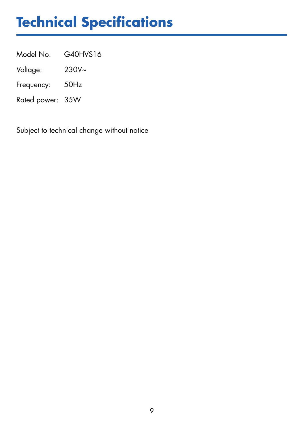## **Technical Specifications**

Model No. G40HVS16

Voltage: 230V~

Frequency: 50Hz

Rated power: 35W

Subject to technical change without notice